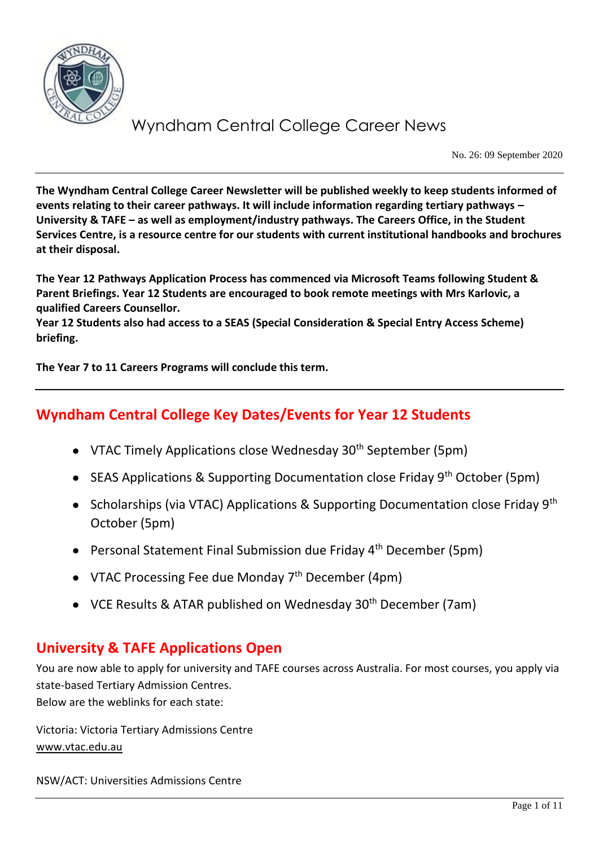

No. 26: 09 September 2020

**The Wyndham Central College Career Newsletter will be published weekly to keep students informed of events relating to their career pathways. It will include information regarding tertiary pathways – University & TAFE – as well as employment/industry pathways. The Careers Office, in the Student Services Centre, is a resource centre for our students with current institutional handbooks and brochures at their disposal.**

**The Year 12 Pathways Application Process has commenced via Microsoft Teams following Student & Parent Briefings. Year 12 Students are encouraged to book remote meetings with Mrs Karlovic, a qualified Careers Counsellor.**

**Year 12 Students also had access to a SEAS (Special Consideration & Special Entry Access Scheme) briefing.** 

**The Year 7 to 11 Careers Programs will conclude this term.**

## **Wyndham Central College Key Dates/Events for Year 12 Students**

- VTAC Timely Applications close Wednesday  $30<sup>th</sup>$  September (5pm)
- SEAS Applications & Supporting Documentation close Friday  $9<sup>th</sup>$  October (5pm)
- Scholarships (via VTAC) Applications & Supporting Documentation close Friday 9<sup>th</sup> October (5pm)
- Personal Statement Final Submission due Friday 4<sup>th</sup> December (5pm)
- VTAC Processing Fee due Monday  $7<sup>th</sup>$  December (4pm)
- VCE Results & ATAR published on Wednesday 30<sup>th</sup> December (7am)

## **University & TAFE Applications Open**

You are now able to apply for university and TAFE courses across Australia. For most courses, you apply via state-based Tertiary Admission Centres. Below are the weblinks for each state:

Victoria: Victoria Tertiary Admissions Centre [www.vtac.edu.au](http://www.vtac.edu.au/)

NSW/ACT: Universities Admissions Centre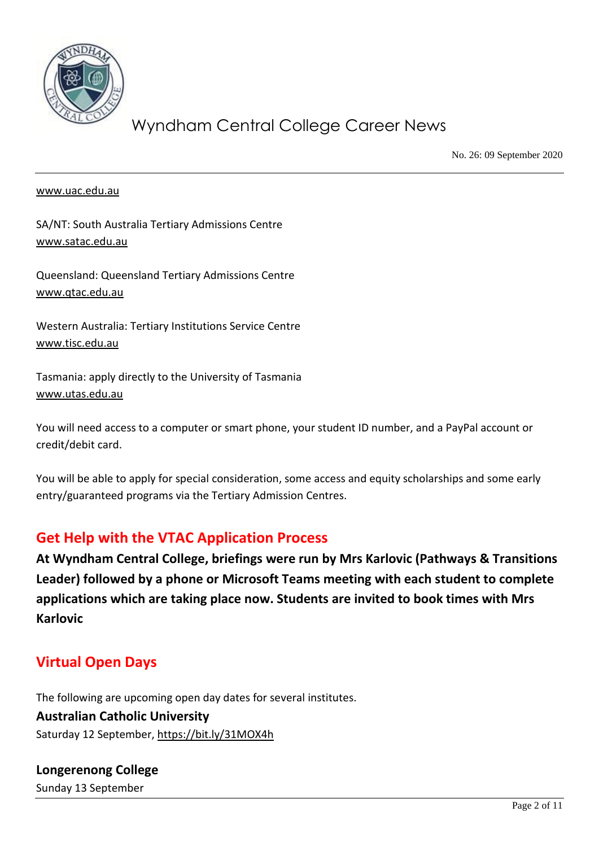

No. 26: 09 September 2020

#### [www.uac.edu.au](http://www.uac.edu.au/)

SA/NT: South Australia Tertiary Admissions Centre [www.satac.edu.au](http://www.satac.edu.au/)

Queensland: Queensland Tertiary Admissions Centre [www.qtac.edu.au](http://www.qtac.edu.au/)

Western Australia: Tertiary Institutions Service Centre [www.tisc.edu.au](http://www.tisc.edu.au/)

Tasmania: apply directly to the University of Tasmania [www.utas.edu.au](http://www.utas.edu.au/)

You will need access to a computer or smart phone, your student ID number, and a PayPal account or credit/debit card.

You will be able to apply for special consideration, some access and equity scholarships and some early entry/guaranteed programs via the Tertiary Admission Centres.

## **Get Help with the VTAC Application Process**

**At Wyndham Central College, briefings were run by Mrs Karlovic (Pathways & Transitions Leader) followed by a phone or Microsoft Teams meeting with each student to complete applications which are taking place now. Students are invited to book times with Mrs Karlovic**

## **Virtual Open Days**

The following are upcoming open day dates for several institutes.

### **Australian Catholic University**

Saturday 12 September,<https://bit.ly/31MOX4h>

**Longerenong College** Sunday 13 September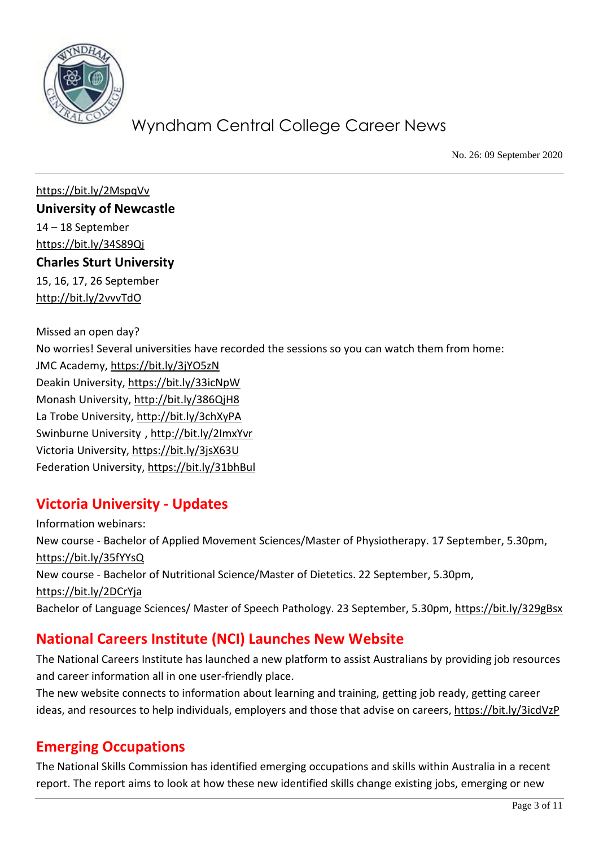

No. 26: 09 September 2020

<https://bit.ly/2MspqVv> **University of Newcastle** 14 – 18 September <https://bit.ly/34S89Qj> **Charles Sturt University** 15, 16, 17, 26 September <http://bit.ly/2vvvTdO>

Missed an open day? No worries! Several universities have recorded the sessions so you can watch them from home: JMC Academy,<https://bit.ly/3jYO5zN> Deakin University,<https://bit.ly/33icNpW> Monash University,<http://bit.ly/386QjH8> La Trobe University,<http://bit.ly/3chXyPA> Swinburne University [, http://bit.ly/2ImxYvr](http://bit.ly/2ImxYvr) Victoria University,<https://bit.ly/3jsX63U> Federation University[, https://bit.ly/31bhBul](https://bit.ly/31bhBul)

## **Victoria University - Updates**

Information webinars: New course - Bachelor of Applied Movement Sciences/Master of Physiotherapy. 17 September, 5.30pm, <https://bit.ly/35fYYsQ> New course - Bachelor of Nutritional Science/Master of Dietetics. 22 September, 5.30pm, <https://bit.ly/2DCrYja> Bachelor of Language Sciences/ Master of Speech Pathology. 23 September, 5.30pm,<https://bit.ly/329gBsx>

## **National Careers Institute (NCI) Launches New Website**

The National Careers Institute has launched a new platform to assist Australians by providing job resources and career information all in one user-friendly place.

The new website connects to information about learning and training, getting job ready, getting career ideas, and resources to help individuals, employers and those that advise on careers,<https://bit.ly/3icdVzP>

## **Emerging Occupations**

The National Skills Commission has identified emerging occupations and skills within Australia in a recent report. The report aims to look at how these new identified skills change existing jobs, emerging or new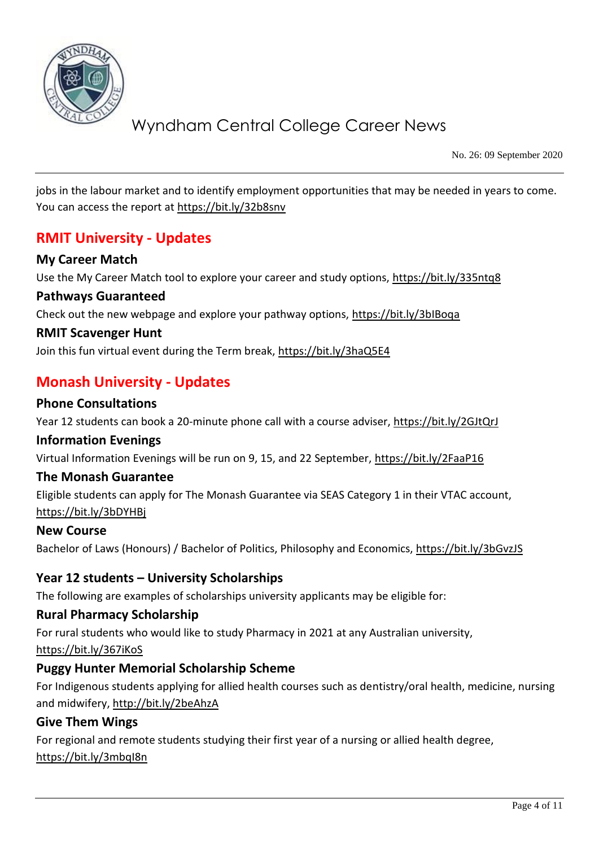

No. 26: 09 September 2020

jobs in the labour market and to identify employment opportunities that may be needed in years to come. You can access the report at<https://bit.ly/32b8snv>

## **RMIT University - Updates**

### **My Career Match**

Use the My Career Match tool to explore your career and study options,<https://bit.ly/335ntq8>

#### **Pathways Guaranteed**

Check out the new webpage and explore your pathway options,<https://bit.ly/3bIBoqa>

#### **RMIT Scavenger Hunt**

Join this fun virtual event during the Term break,<https://bit.ly/3haQ5E4>

## **Monash University - Updates**

#### **Phone Consultations**

Year 12 students can book a 20-minute phone call with a course adviser,<https://bit.ly/2GJtQrJ>

#### **Information Evenings**

Virtual Information Evenings will be run on 9, 15, and 22 September,<https://bit.ly/2FaaP16>

#### **The Monash Guarantee**

Eligible students can apply for The Monash Guarantee via SEAS Category 1 in their VTAC account, <https://bit.ly/3bDYHBj>

#### **New Course**

Bachelor of Laws (Honours) / Bachelor of Politics, Philosophy and Economics,<https://bit.ly/3bGvzJS>

### **Year 12 students – University Scholarships**

The following are examples of scholarships university applicants may be eligible for:

#### **Rural Pharmacy Scholarship**

For rural students who would like to study Pharmacy in 2021 at any Australian university, <https://bit.ly/367iKoS>

### **Puggy Hunter Memorial Scholarship Scheme**

For Indigenous students applying for allied health courses such as dentistry/oral health, medicine, nursing and midwifery,<http://bit.ly/2beAhzA>

### **Give Them Wings**

For regional and remote students studying their first year of a nursing or allied health degree, <https://bit.ly/3mbqI8n>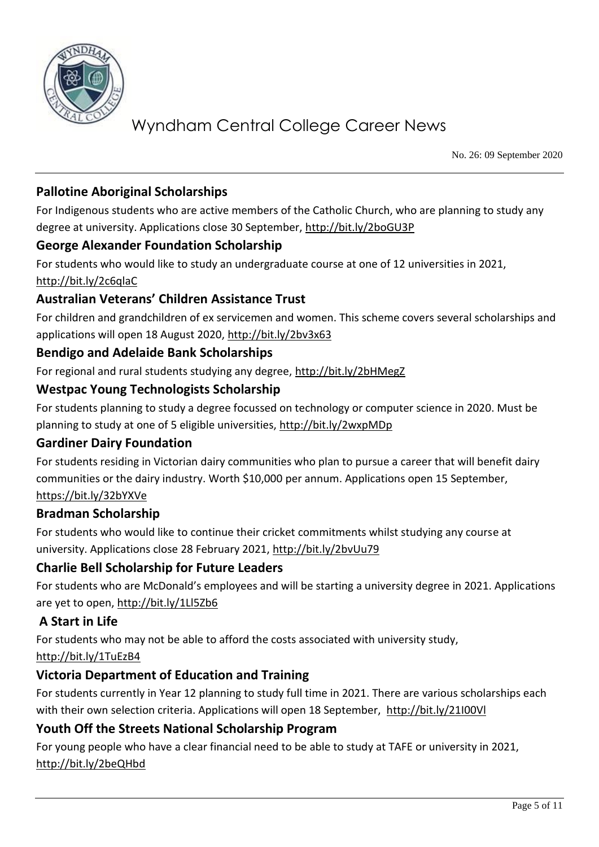

No. 26: 09 September 2020

## **Pallotine Aboriginal Scholarships**

For Indigenous students who are active members of the Catholic Church, who are planning to study any degree at university. Applications close 30 September,<http://bit.ly/2boGU3P>

## **George Alexander Foundation Scholarship**

For students who would like to study an undergraduate course at one of 12 universities in 2021, <http://bit.ly/2c6qlaC>

### **Australian Veterans' Children Assistance Trust**

For children and grandchildren of ex servicemen and women. This scheme covers several scholarships and applications will open 18 August 2020,<http://bit.ly/2bv3x63>

### **Bendigo and Adelaide Bank Scholarships**

For regional and rural students studying any degree,<http://bit.ly/2bHMegZ>

### **Westpac Young Technologists Scholarship**

For students planning to study a degree focussed on technology or computer science in 2020. Must be planning to study at one of 5 eligible universities,<http://bit.ly/2wxpMDp>

### **Gardiner Dairy Foundation**

For students residing in Victorian dairy communities who plan to pursue a career that will benefit dairy communities or the dairy industry. Worth \$10,000 per annum. Applications open 15 September, <https://bit.ly/32bYXVe>

### **Bradman Scholarship**

For students who would like to continue their cricket commitments whilst studying any course at university. Applications close 28 February 2021,<http://bit.ly/2bvUu79>

## **Charlie Bell Scholarship for Future Leaders**

For students who are McDonald's employees and will be starting a university degree in 2021. Applications are yet to open,<http://bit.ly/1Ll5Zb6>

## **A Start in Life**

For students who may not be able to afford the costs associated with university study,

### <http://bit.ly/1TuEzB4>

## **Victoria Department of Education and Training**

For students currently in Year 12 planning to study full time in 2021. There are various scholarships each with their own selection criteria. Applications will open 18 September, <http://bit.ly/21I00Vl>

## **Youth Off the Streets National Scholarship Program**

For young people who have a clear financial need to be able to study at TAFE or university in 2021, <http://bit.ly/2beQHbd>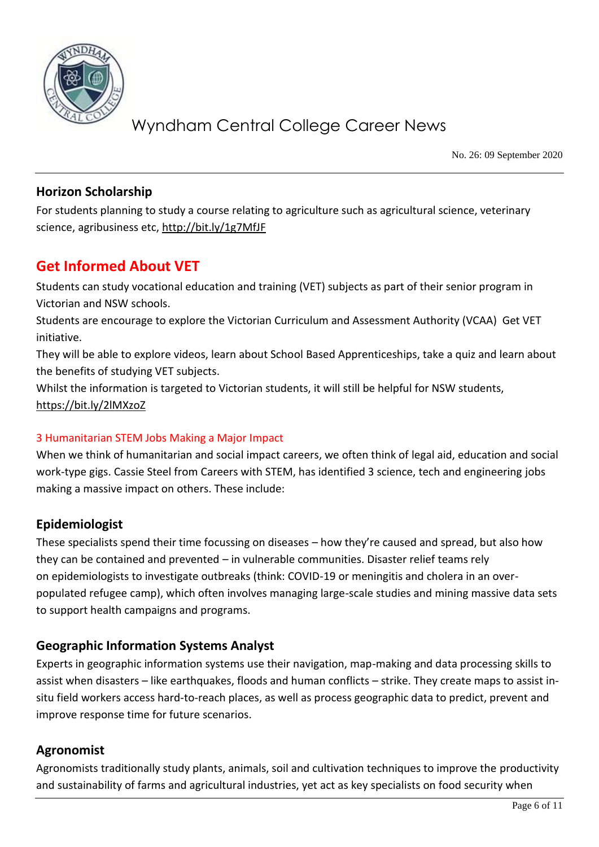

No. 26: 09 September 2020

## **Horizon Scholarship**

For students planning to study a course relating to agriculture such as agricultural science, veterinary science, agribusiness etc,<http://bit.ly/1g7MfJF>

## **Get Informed About VET**

Students can study vocational education and training (VET) subjects as part of their senior program in Victorian and NSW schools.

Students are encourage to explore the Victorian Curriculum and Assessment Authority (VCAA) Get VET initiative.

They will be able to explore videos, learn about School Based Apprenticeships, take a quiz and learn about the benefits of studying VET subjects.

Whilst the information is targeted to Victorian students, it will still be helpful for NSW students, <https://bit.ly/2lMXzoZ>

### 3 Humanitarian STEM Jobs Making a Major Impact

When we think of humanitarian and social impact careers, we often think of legal aid, education and social work-type gigs. Cassie Steel from Careers with STEM, has identified 3 science, tech and engineering jobs making a massive impact on others. These include:

## **Epidemiologist**

These specialists spend their time focussing on diseases – how they're caused and spread, but also how they can be contained and prevented – in vulnerable communities. Disaster relief teams rely on epidemiologists to investigate outbreaks (think: COVID-19 or meningitis and cholera in an overpopulated refugee camp), which often involves managing large-scale studies and mining massive data sets to support health campaigns and programs.

## **Geographic Information Systems Analyst**

Experts in geographic information systems use their navigation, map-making and data processing skills to assist when disasters – like earthquakes, floods and human conflicts – strike. They create maps to assist insitu field workers access hard-to-reach places, as well as process geographic data to predict, prevent and improve response time for future scenarios.

## **Agronomist**

Agronomists traditionally study plants, animals, soil and cultivation techniques to improve the productivity and sustainability of farms and agricultural industries, yet act as key specialists on food security when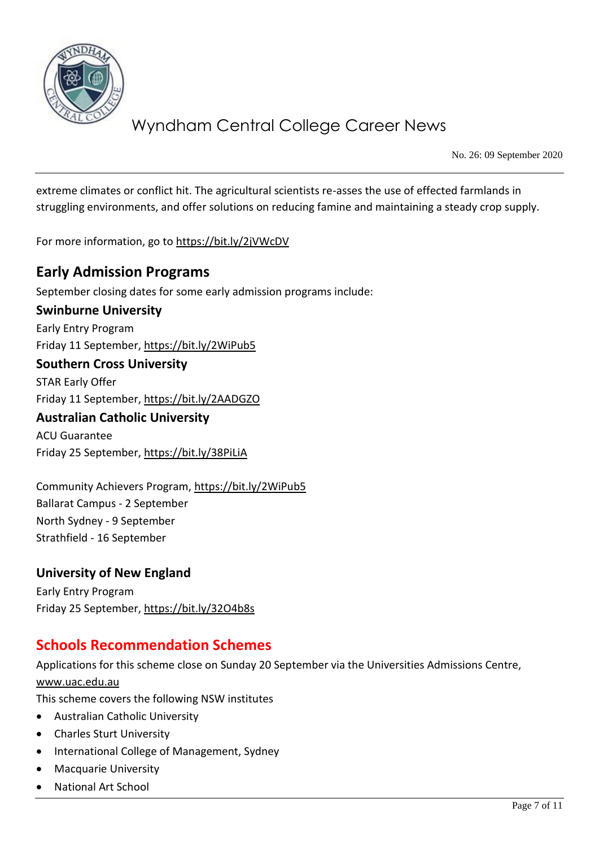

No. 26: 09 September 2020

extreme climates or conflict hit. The agricultural scientists re-asses the use of effected farmlands in struggling environments, and offer solutions on reducing famine and maintaining a steady crop supply.

For more information, go to<https://bit.ly/2jVWcDV>

## **Early Admission Programs**

September closing dates for some early admission programs include:

## **Swinburne University**

Early Entry Program Friday 11 September,<https://bit.ly/2WiPub5>

## **Southern Cross University**

STAR Early Offer Friday 11 September,<https://bit.ly/2AADGZO>

#### **Australian Catholic University**

ACU Guarantee Friday 25 September,<https://bit.ly/38PiLiA>

Community Achievers Program,<https://bit.ly/2WiPub5> Ballarat Campus - 2 September North Sydney - 9 September Strathfield - 16 September

### **University of New England**

Early Entry Program Friday 25 September,<https://bit.ly/32O4b8s>

## **Schools Recommendation Schemes**

Applications for this scheme close on Sunday 20 September via the Universities Admissions Centre, [www.uac.edu.au](http://www.uac.edu.au/)

This scheme covers the following NSW institutes

- Australian Catholic University
- Charles Sturt University
- International College of Management, Sydney
- Macquarie University
- National Art School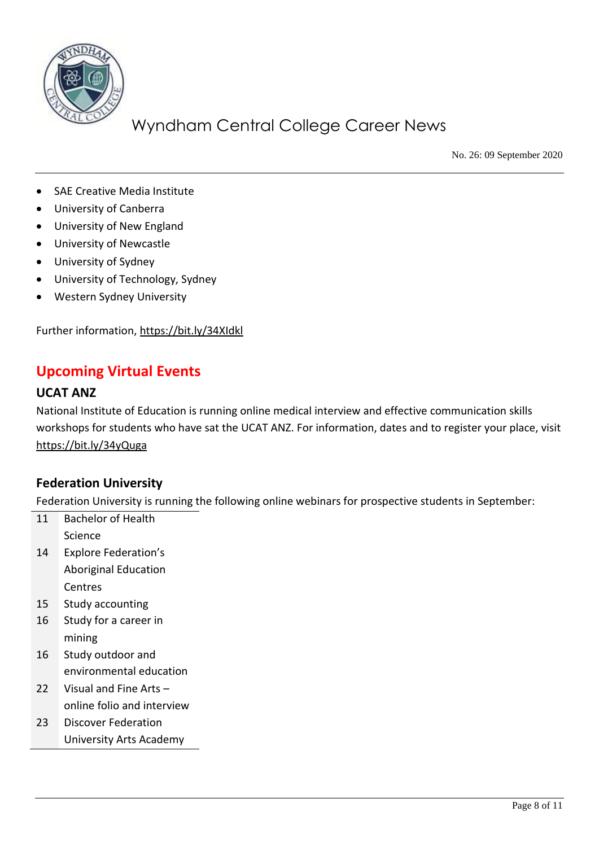

No. 26: 09 September 2020

- SAE Creative Media Institute
- University of Canberra
- University of New England
- University of Newcastle
- University of Sydney
- University of Technology, Sydney
- Western Sydney University

Further information,<https://bit.ly/34XIdkl>

## **Upcoming Virtual Events**

#### **UCAT ANZ**

National Institute of Education is running online medical interview and effective communication skills workshops for students who have sat the UCAT ANZ. For information, dates and to register your place, visit <https://bit.ly/34yQuga>

### **Federation University**

Federation University is running the following online webinars for prospective students in September:

- 11 Bachelor of Health Science 14 Explore Federation's Aboriginal Education **Centres**
- 15 Study accounting
- 16 Study for a career in mining
- 16 Study outdoor and environmental education
- 22 Visual and Fine Arts online folio and interview
- 23 Discover Federation University Arts Academy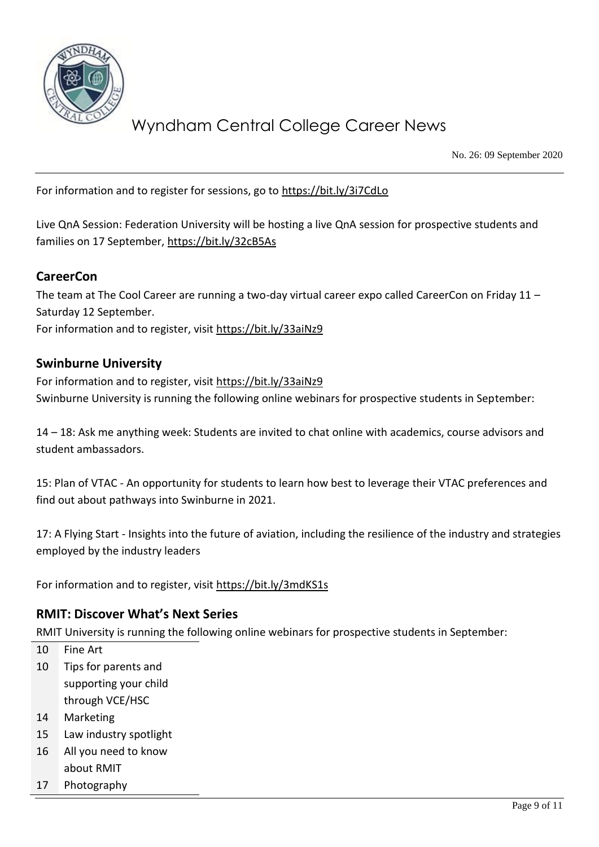

No. 26: 09 September 2020

For information and to register for sessions, go to<https://bit.ly/3i7CdLo>

Live QnA Session: Federation University will be hosting a live QnA session for prospective students and families on 17 September,<https://bit.ly/32cB5As>

### **CareerCon**

The team at The Cool Career are running a two-day virtual career expo called CareerCon on Friday 11 – Saturday 12 September. For information and to register, visit<https://bit.ly/33aiNz9>

#### **Swinburne University**

For information and to register, visit<https://bit.ly/33aiNz9> Swinburne University is running the following online webinars for prospective students in September:

14 – 18: Ask me anything week: Students are invited to chat online with academics, course advisors and student ambassadors.

15: Plan of VTAC - An opportunity for students to learn how best to leverage their VTAC preferences and find out about pathways into Swinburne in 2021.

17: A Flying Start - Insights into the future of aviation, including the resilience of the industry and strategies employed by the industry leaders

For information and to register, visit<https://bit.ly/3mdKS1s>

### **RMIT: Discover What's Next Series**

RMIT University is running the following online webinars for prospective students in September:

- 10 Fine Art 10 Tips for parents and supporting your child through VCE/HSC
- 14 Marketing
- 15 Law industry spotlight
- 16 All you need to know about RMIT
- 17 Photography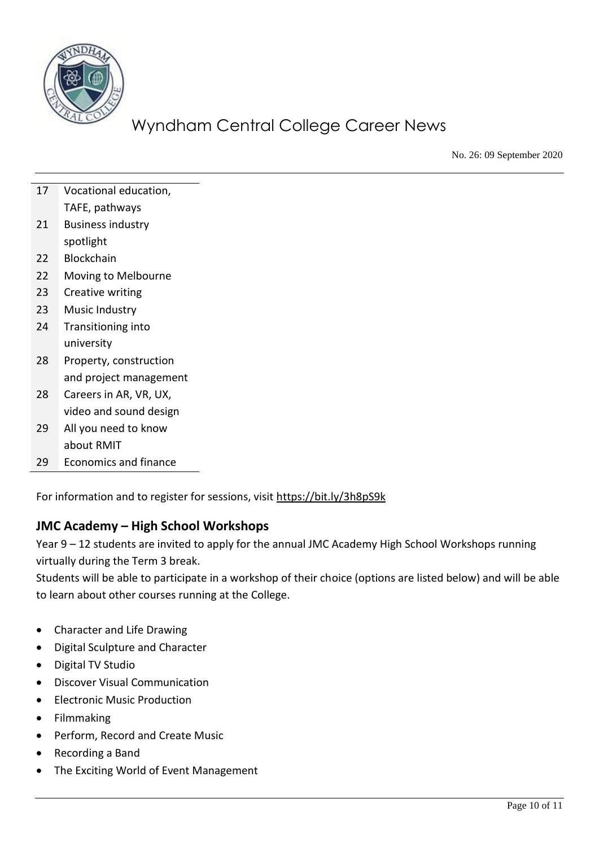

No. 26: 09 September 2020

| 17 | Vocational education,   |
|----|-------------------------|
|    | TAFE, pathways          |
| 21 | Business industry       |
|    | spotlight               |
| 22 | Blockchain              |
| 22 | Moving to Melbourne     |
| 23 | <b>Creative writing</b> |
| 23 | Music Industry          |
| 24 | Transitioning into      |
|    | university              |
| 28 | Property, construction  |
|    | and project management  |
| 28 | Careers in AR, VR, UX,  |
|    | video and sound design  |
| 29 | All you need to know    |
|    | about RMIT              |
| 29 | Economics and finance   |

For information and to register for sessions, visit<https://bit.ly/3h8pS9k>

## **JMC Academy – High School Workshops**

Year 9 – 12 students are invited to apply for the annual JMC Academy High School Workshops running virtually during the Term 3 break.

Students will be able to participate in a workshop of their choice (options are listed below) and will be able to learn about other courses running at the College.

- Character and Life Drawing
- Digital Sculpture and Character
- Digital TV Studio
- Discover Visual Communication
- Electronic Music Production
- **Filmmaking**
- Perform, Record and Create Music
- Recording a Band
- The Exciting World of Event Management